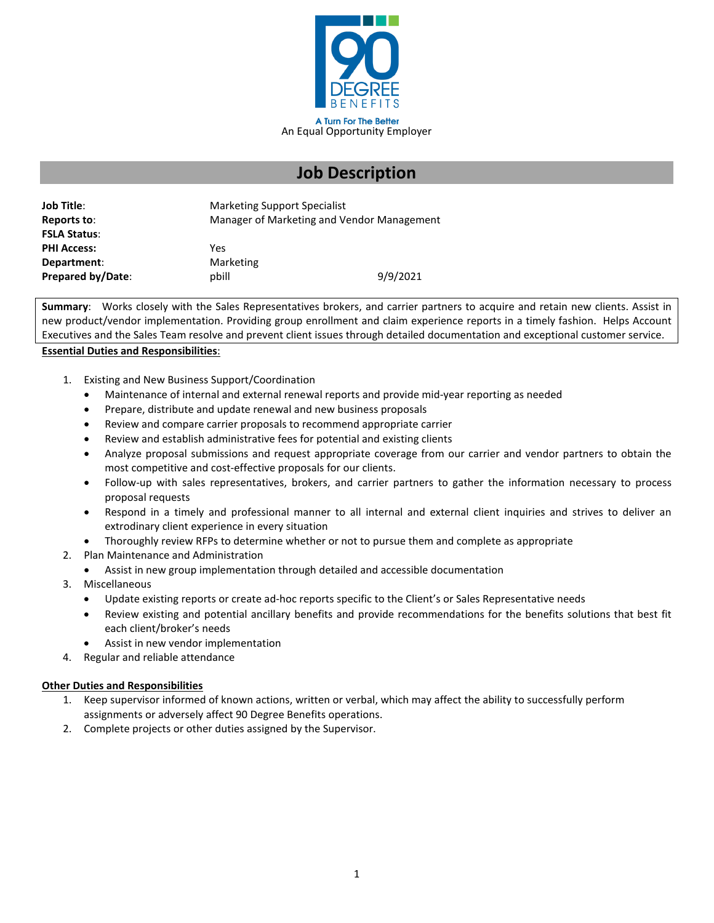

# **Job Description**

| <b>Job Title:</b>   | <b>Marketing Support Specialist</b>        |          |
|---------------------|--------------------------------------------|----------|
| Reports to:         | Manager of Marketing and Vendor Management |          |
| <b>FSLA Status:</b> |                                            |          |
| <b>PHI Access:</b>  | Yes                                        |          |
| Department:         | Marketing                                  |          |
| Prepared by/Date:   | llida                                      | 9/9/2021 |

**Summary**: Works closely with the Sales Representatives brokers, and carrier partners to acquire and retain new clients. Assist in new product/vendor implementation. Providing group enrollment and claim experience reports in a timely fashion. Helps Account Executives and the Sales Team resolve and prevent client issues through detailed documentation and exceptional customer service.

## **Essential Duties and Responsibilities**:

- 1. Existing and New Business Support/Coordination
	- Maintenance of internal and external renewal reports and provide mid-year reporting as needed
	- Prepare, distribute and update renewal and new business proposals
	- Review and compare carrier proposals to recommend appropriate carrier
	- Review and establish administrative fees for potential and existing clients
	- Analyze proposal submissions and request appropriate coverage from our carrier and vendor partners to obtain the most competitive and cost-effective proposals for our clients.
	- Follow-up with sales representatives, brokers, and carrier partners to gather the information necessary to process proposal requests
	- Respond in a timely and professional manner to all internal and external client inquiries and strives to deliver an extrodinary client experience in every situation
	- Thoroughly review RFPs to determine whether or not to pursue them and complete as appropriate
- 2. Plan Maintenance and Administration
	- Assist in new group implementation through detailed and accessible documentation
- 3. Miscellaneous
	- Update existing reports or create ad-hoc reports specific to the Client's or Sales Representative needs
	- Review existing and potential ancillary benefits and provide recommendations for the benefits solutions that best fit each client/broker's needs
	- Assist in new vendor implementation
- 4. Regular and reliable attendance

## **Other Duties and Responsibilities**

- 1. Keep supervisor informed of known actions, written or verbal, which may affect the ability to successfully perform assignments or adversely affect 90 Degree Benefits operations.
- 2. Complete projects or other duties assigned by the Supervisor.